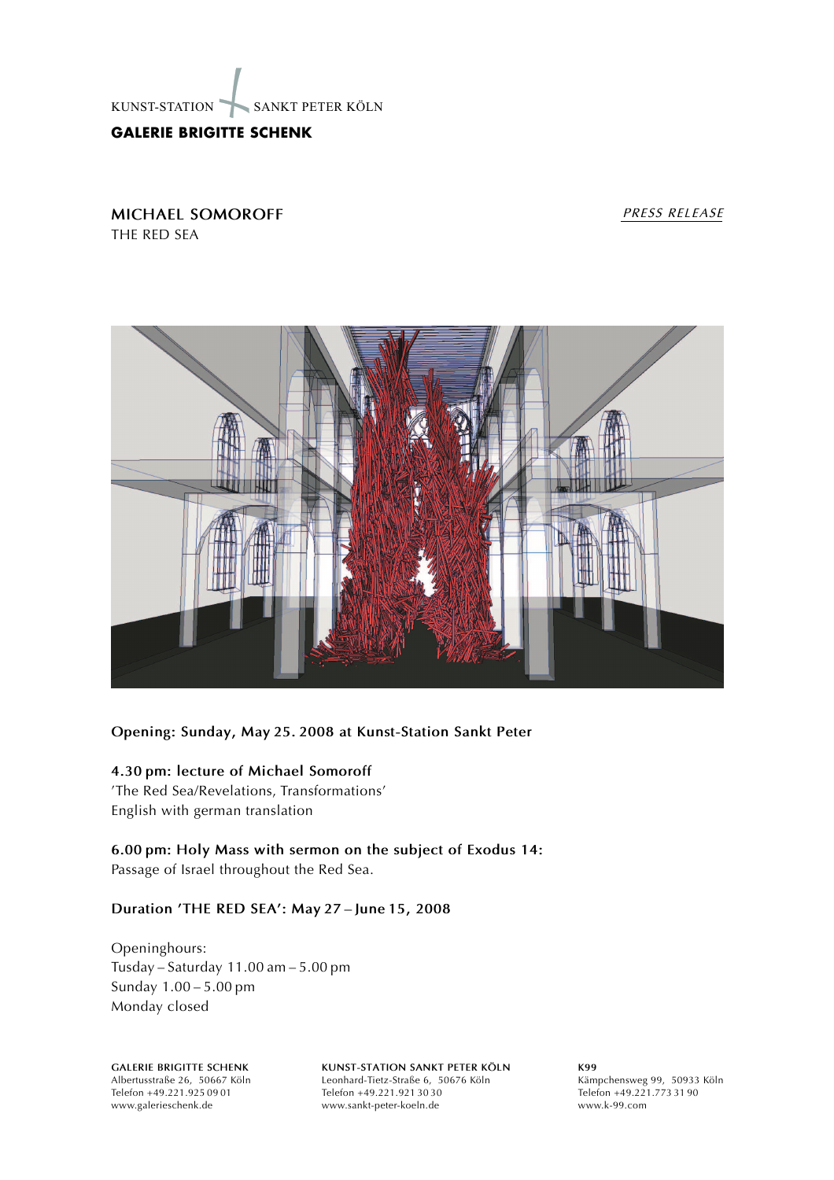

# **GALERIE BRIGITTE SCHENK**

**MICHAEL SOMOROFF** THE RED SEA

#### *PRESS RELEASE*



## **Opening: Sunday, May 25. 2008 at Kunst-Station Sankt Peter**

### **4.30 pm: lecture of Michael Somoroff**

The Red Sea/Revelations, Transformations English with german translation

**6.00 pm: Holy Mass with sermon on the subject of Exodus 14:** Passage of Israel throughout the Red Sea.

### **Duration THE RED SEA: May 27 June 15, 2008**

Openinghours: Tusday - Saturday  $11.00$  am  $-5.00$  pm Sunday 1.00 - 5.00 pm Monday closed

**GALERIE BRIGITTE SCHENK** Albertusstraße 26, 50667 Köln Telefon +49.221.925 09 01 www.galerieschenk.de

**KUNST-STATION SANKT PETER KÖLN** Leonhard-Tietz-Straße 6, 50676 Köln Telefon +49.221.921 30 30 www.sankt-peter-koeln.de

**K99** Kämpchensweg 99, 50933 Köln Telefon +49.221.773 31 90 www.k-99.com